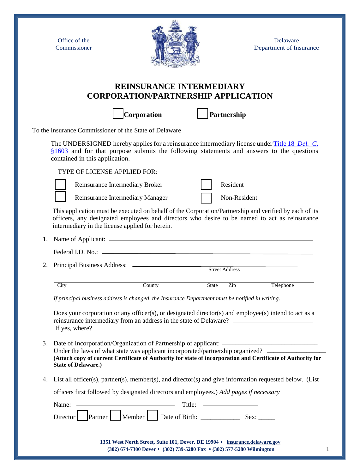Office of the Commissioner



Delaware Department of Insurance

## **REINSURANCE INTERMEDIARY CORPORATION/PARTNERSHIP APPLICATION**

**[ ] Corporation [ ] Partnership**

To the Insurance Commissioner of the State of Delaware

The UNDERSIGNED hereby applies for a reinsurance intermediary license under Title 18 *[Del. C](https://delcode.delaware.gov/title18/c016/index.shtml#1603).* [§1603](https://delcode.delaware.gov/title18/c016/index.shtml#1603) and for that purpose submits the following statements and answers to the questions contained in this application.

TYPE OF LICENSE APPLIED FOR:



Reinsurance Intermediary Manager Non-Resident

This application must be executed on behalf of the Corporation/Partnership and verified by each of its officers, any designated employees and directors who desire to be named to act as reinsurance intermediary in the license applied for herein.

| City | County | <b>State</b>          | Zip | Telephone |
|------|--------|-----------------------|-----|-----------|
|      |        | <b>Street Address</b> |     |           |
|      |        |                       |     |           |
|      |        |                       |     |           |

*If principal business address is changed, the Insurance Department must be notified in writing.* 

Reinsurance Intermediary Broker **and Resident** Resident

Does your corporation or any officer(s), or designated director(s) and employee(s) intend to act as a reinsurance intermediary from an address in the state of Delaware? If yes, where?

- 3. Date of Incorporation/Organization of Partnership of applicant: Under the laws of what state was applicant incorporated/partnership organized? **(Attach copy of current Certificate of Authority for state of incorporation and Certificate of Authority for State of Delaware.)** \_\_\_\_\_\_\_\_\_\_\_\_\_\_\_\_\_\_\_\_\_\_\_\_\_\_\_\_\_  $\frac{1}{2}$  ,  $\frac{1}{2}$  ,  $\frac{1}{2}$  ,  $\frac{1}{2}$  ,  $\frac{1}{2}$  ,  $\frac{1}{2}$  ,  $\frac{1}{2}$  ,  $\frac{1}{2}$  ,  $\frac{1}{2}$  ,  $\frac{1}{2}$  ,  $\frac{1}{2}$
- 4. List all officer(s), partner(s), member(s), and director(s) and give information requested below. (List

officers first followed by designated directors and employees.) *Add pages if necessary*

| Title: —————————<br>Name: $\overline{\phantom{a}}$                                                                                                                                            |  |
|-----------------------------------------------------------------------------------------------------------------------------------------------------------------------------------------------|--|
| $\left  \begin{array}{c} \text{Director} \\ \text{Patterner} \end{array} \right $ Member $\left  \begin{array}{c} \text{Date of Birth:} \\ \text{Date of Birth:} \end{array} \right $<br>Sex: |  |
| 1351 West North Street, Suite 101, Dover, DE 19904 • insurance.delaware.gov<br>$(302)$ 674-7300 Dover $\star$ (302) 739-5280 Fax $\star$ (302) 577-5280 Wilmington                            |  |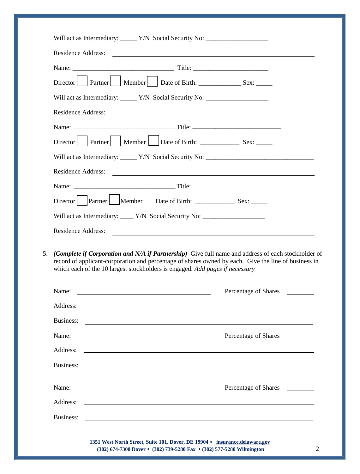|                                                                                  | Will act as Intermediary: ______ Y/N Social Security No: _______________________                                                                                                                                                     |                                                                                                      |  |  |
|----------------------------------------------------------------------------------|--------------------------------------------------------------------------------------------------------------------------------------------------------------------------------------------------------------------------------------|------------------------------------------------------------------------------------------------------|--|--|
|                                                                                  | Residence Address:                                                                                                                                                                                                                   |                                                                                                      |  |  |
|                                                                                  |                                                                                                                                                                                                                                      |                                                                                                      |  |  |
|                                                                                  |                                                                                                                                                                                                                                      |                                                                                                      |  |  |
|                                                                                  |                                                                                                                                                                                                                                      | Will act as Intermediary: _______ Y/N Social Security No: _______________________                    |  |  |
|                                                                                  |                                                                                                                                                                                                                                      | Residence Address:                                                                                   |  |  |
|                                                                                  |                                                                                                                                                                                                                                      |                                                                                                      |  |  |
|                                                                                  |                                                                                                                                                                                                                                      |                                                                                                      |  |  |
| Will act as Intermediary: _____ Y/N Social Security No: ________________________ |                                                                                                                                                                                                                                      |                                                                                                      |  |  |
|                                                                                  |                                                                                                                                                                                                                                      |                                                                                                      |  |  |
|                                                                                  | Residence Address:                                                                                                                                                                                                                   | (Complete if Corporation and N/A if Partnership) Give full name and address of each stockholder of   |  |  |
|                                                                                  | which each of the 10 largest stockholders is engaged. Add pages if necessary                                                                                                                                                         | record of applicant-corporation and percentage of shares owned by each. Give the line of business in |  |  |
|                                                                                  |                                                                                                                                                                                                                                      | Percentage of Shares                                                                                 |  |  |
|                                                                                  |                                                                                                                                                                                                                                      |                                                                                                      |  |  |
|                                                                                  | Business: <u>International Community of the set of the set of the set of the set of the set of the set of the set of the set of the set of the set of the set of the set of the set of the set of the set of the set of the set </u> |                                                                                                      |  |  |
|                                                                                  |                                                                                                                                                                                                                                      | Percentage of Shares                                                                                 |  |  |
| Name:                                                                            |                                                                                                                                                                                                                                      |                                                                                                      |  |  |
|                                                                                  |                                                                                                                                                                                                                                      | <u> 1999 - Johann Stoff, amerikansk politiker (d. 1989)</u>                                          |  |  |
|                                                                                  |                                                                                                                                                                                                                                      | Percentage of Shares                                                                                 |  |  |
| Business:                                                                        | Name:                                                                                                                                                                                                                                |                                                                                                      |  |  |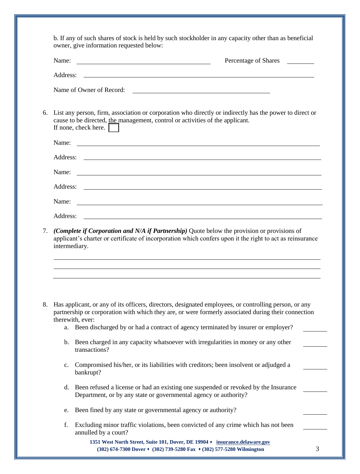| Name:          | Percentage of Shares<br><u> 1980 - Johann Barn, mars ann an t-Amhain Aonaich an t-Aonaich an t-Aonaich ann an t-Aonaich ann an t-Aonaich</u>                                                                                 |                                                                                                           |
|----------------|------------------------------------------------------------------------------------------------------------------------------------------------------------------------------------------------------------------------------|-----------------------------------------------------------------------------------------------------------|
| Address:       | <u> 1990 - Johann Stoff, amerikansk politiker (d. 1980)</u>                                                                                                                                                                  |                                                                                                           |
|                | Name of Owner of Record:<br><u> 1980 - Johann Stoff, deutscher Stoffen und der Stoffen und der Stoffen und der Stoffen und der Stoffen und der</u>                                                                           |                                                                                                           |
|                | List any person, firm, association or corporation who directly or indirectly has the power to direct or<br>cause to be directed, the management, control or activities of the applicant.<br>If none, check here. $\parallel$ |                                                                                                           |
| Name:          | and the control of the control of the control of the control of the control of the control of the control of the                                                                                                             |                                                                                                           |
| Address:       |                                                                                                                                                                                                                              |                                                                                                           |
| Name:          | <u> 2008 - Andrea Andrewski, politik američki politik († 18. února 1908)</u>                                                                                                                                                 |                                                                                                           |
| Address:       | <u> 1990 - Johann Stoff, amerikansk politiker (d. 1980)</u>                                                                                                                                                                  |                                                                                                           |
| Name:          | <u> 1989 - Johann Barn, mars et al. (b. 1989)</u>                                                                                                                                                                            |                                                                                                           |
| Address:       | <u> 1980 - Johann Stoff, deutscher Stoff, der Stoff, der Stoff, der Stoff, der Stoff, der Stoff, der Stoff, der S</u>                                                                                                        |                                                                                                           |
|                | intermediary.                                                                                                                                                                                                                |                                                                                                           |
|                | Has applicant, or any of its officers, directors, designated employees, or controlling person, or any                                                                                                                        | applicant's charter or certificate of incorporation which confers upon it the right to act as reinsurance |
|                | partnership or corporation with which they are, or were formerly associated during their connection                                                                                                                          |                                                                                                           |
| a.             | therewith, ever:<br>Been discharged by or had a contract of agency terminated by insurer or employer?                                                                                                                        |                                                                                                           |
| b.             | Been charged in any capacity whatsoever with irregularities in money or any other<br>transactions?                                                                                                                           |                                                                                                           |
| $\mathbf{c}$ . | Compromised his/her, or its liabilities with creditors; been insolvent or adjudged a<br>bankrupt?                                                                                                                            |                                                                                                           |
| d.             | Been refused a license or had an existing one suspended or revoked by the Insurance<br>Department, or by any state or governmental agency or authority?                                                                      |                                                                                                           |
| e.             | Been fined by any state or governmental agency or authority?                                                                                                                                                                 |                                                                                                           |
| f.             | Excluding minor traffic violations, been convicted of any crime which has not been<br>annulled by a court?                                                                                                                   |                                                                                                           |